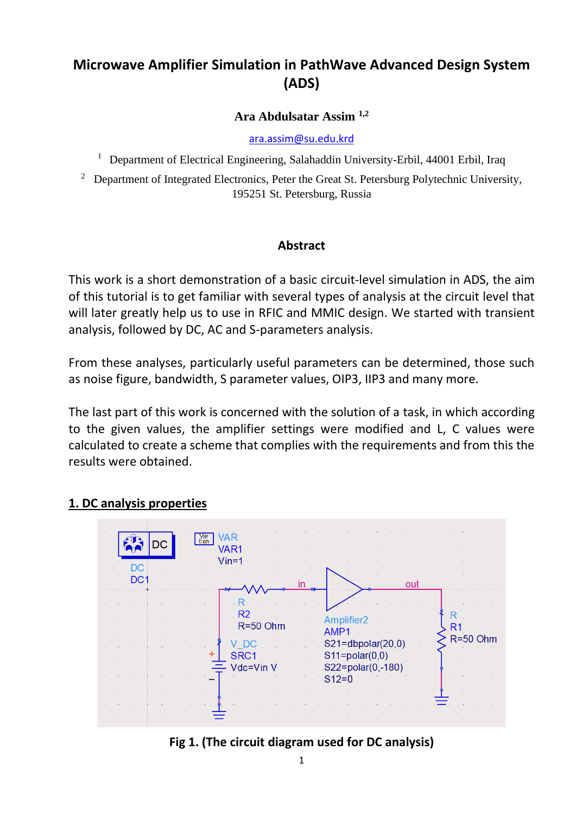# **Microwave Amplifier Simulation in PathWave Advanced Design System (ADS)**

### **[Ara Abdulsatar Assim](https://orcid.org/0000-0002-6055-9223) 1,2**

[ara.assim@su.edu.krd](mailto:ara.assim@su.edu.krd)

<sup>1</sup> Department of Electrical Engineering, Salahaddin University-Erbil, 44001 Erbil, Iraq

2 Department of Integrated Electronics, Peter the Great St. Petersburg Polytechnic University, 195251 St. Petersburg, Russia

### **Abstract**

This work is a short demonstration of a basic circuit-level simulation in ADS, the aim of this tutorial is to get familiar with several types of analysis at the circuit level that will later greatly help us to use in RFIC and MMIC design. We started with transient analysis, followed by DC, AC and S-parameters analysis.

From these analyses, particularly useful parameters can be determined, those such as noise figure, bandwidth, S parameter values, OIP3, IIP3 and many more.

The last part of this work is concerned with the solution of a task, in which according to the given values, the amplifier settings were modified and L, C values were calculated to create a scheme that complies with the requirements and from this the results were obtained.

## **1. DC analysis properties**



## **Fig 1. (The circuit diagram used for DC analysis)**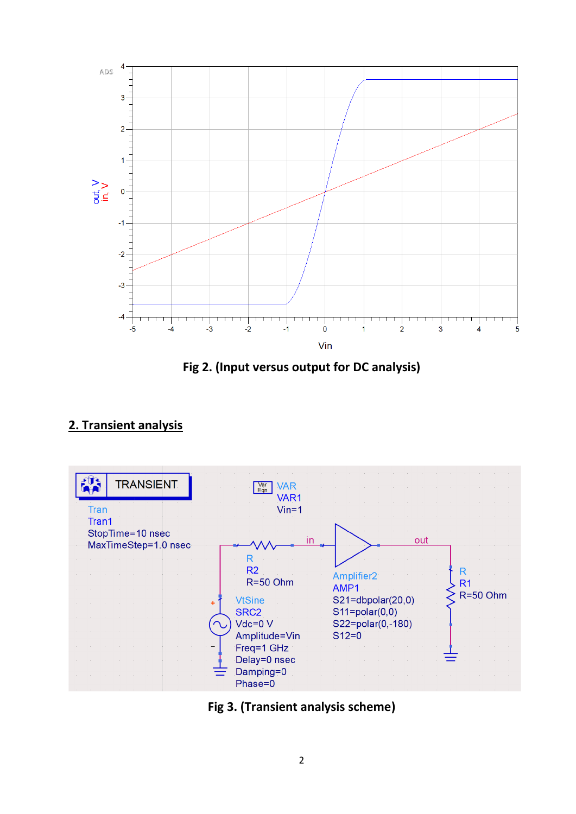

**Fig 2. (Input versus output for DC analysis)**

# **2. Transient analysis**

| <b>TRANSIENT</b>                                  | <b>VAR</b><br>Var<br>Eqn<br>VAR1 |                                           |
|---------------------------------------------------|----------------------------------|-------------------------------------------|
| Tran                                              | $V$ in=1                         |                                           |
| Tran1<br>StopTime=10 nsec<br>MaxTimeStep=1.0 nsec |                                  | out                                       |
|                                                   |                                  |                                           |
|                                                   | R <sub>2</sub><br>$R = 50$ Ohm   | R<br>Amplifier <sub>2</sub><br>R1<br>AMP1 |
|                                                   | <b>VtSine</b>                    | $R = 50$ Ohm<br>$S21 = dbpolar(20,0)$     |
|                                                   | SRC <sub>2</sub><br>$Vdc = 0 V$  | $S11 = polar(0,0)$<br>S22=polar(0,-180)   |
|                                                   | Amplitude=Vin                    | $S12=0$                                   |
|                                                   | Freq=1 GHz                       |                                           |
|                                                   | Delay=0 nsec                     |                                           |
|                                                   | Damping=0<br>Phase=0             |                                           |

**Fig 3. (Transient analysis scheme)**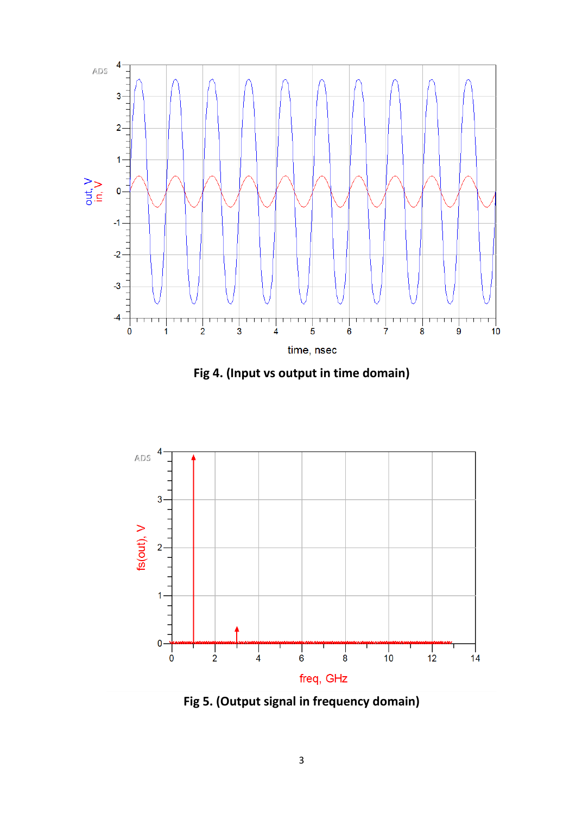

**Fig 4. (Input vs output in time domain)**



**Fig 5. (Output signal in frequency domain)**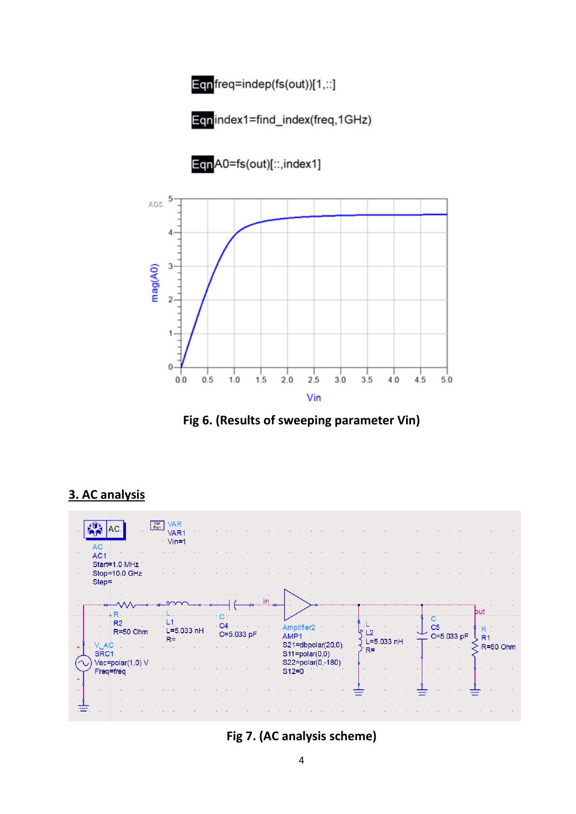



EqnA0=fs(out)[::,index1]



**Fig 6. (Results of sweeping parameter Vin)**

#### **VAR**  $\sqrt{\frac{Var}{Eqn}}$  $\frac{1}{\sqrt{2}}$  AC. VAR<sub>1</sub>  $V$ in=1 AC<sub>1</sub> Start=1.0 MHz Stop=10:0 GHz Step= in hut  $+R$ Ċ  $\overline{\mathbf{c}}$  $L1$  $R<sub>2</sub>$  $\mathbf{I}$  $C<sub>4</sub>$ Amplifier<sub>2</sub>  $C<sub>5</sub>$  $\overline{\mathsf{R}}$  $L = 5.033$  nH R=50 Ohm  $L<sub>2</sub>$ AMP<sub>1</sub> C=5.033.pF C=5.033 pF  $R1$  $R =$ L=5.033 nH  $\left\{ \right.$  R=50 Ohm S21=dbpolar(20,0).  $V$  AC  $R =$  $S\bar{R}C1$  $S11 = polar(0,0)$ Vac=polar(1,0) V S22=polar(0,-180)  $S12=0$ Freq=freq ≡ Ξ

## **3. AC analysis**

**Fig 7. (AC analysis scheme)**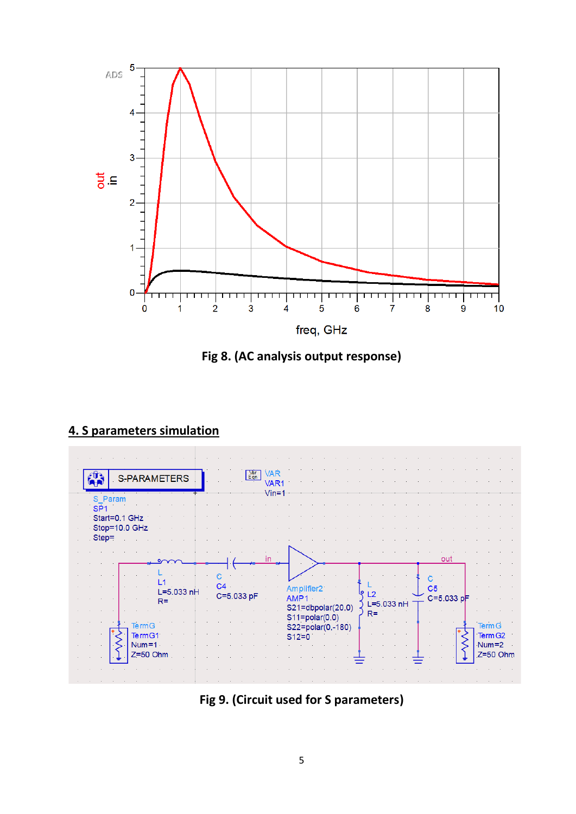

**Fig 8. (AC analysis output response)**



## **4. S parameters simulation**

**Fig 9. (Circuit used for S parameters)**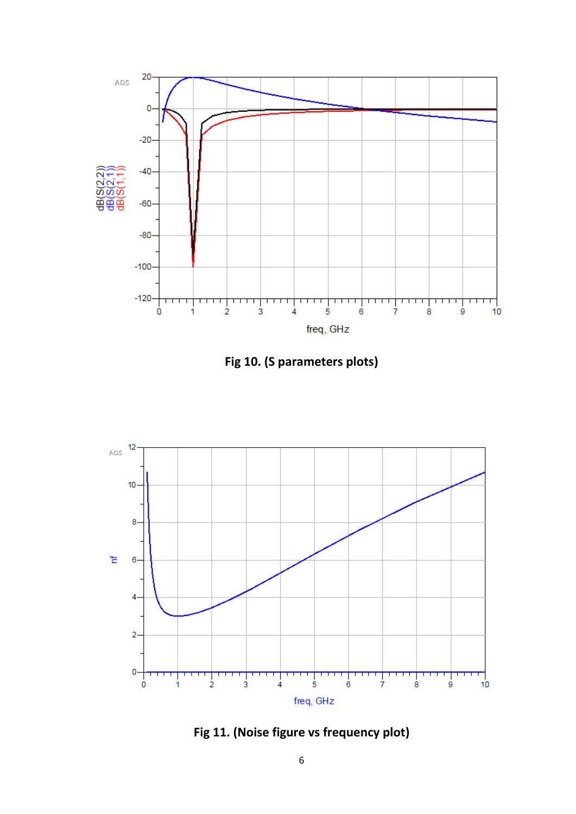





**Fig 11. (Noise figure vs frequency plot)**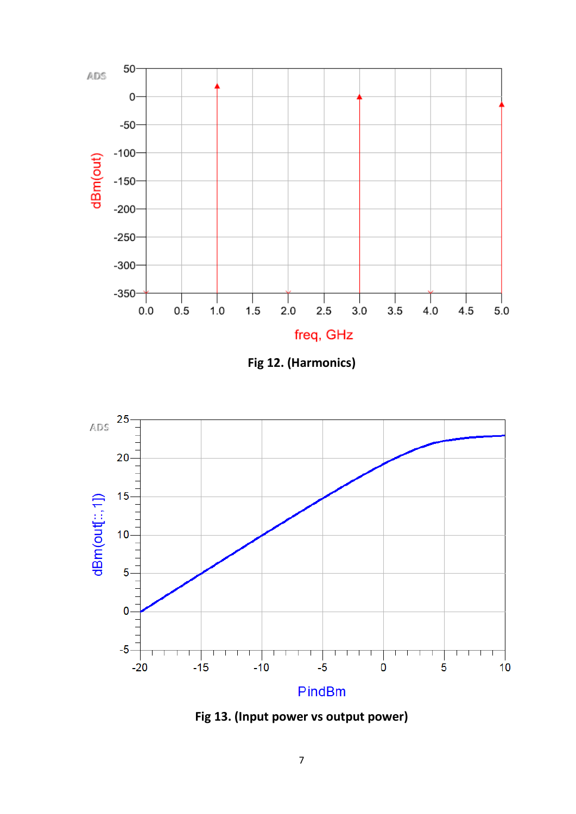

**Fig 12. (Harmonics)**



**Fig 13. (Input power vs output power)**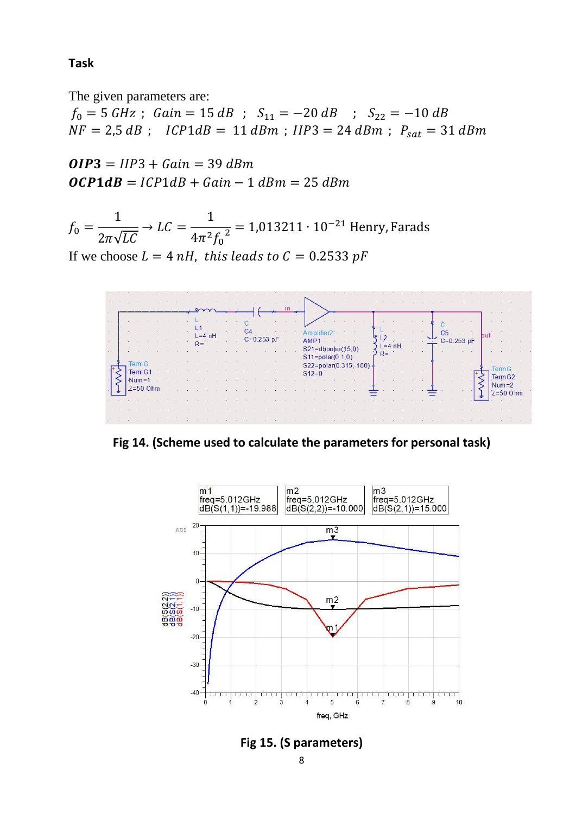### **Task**

The given parameters are:

 $f_0 = 5 \text{ GHz}$ ;  $Gain = 15 \text{ dB}$ ;  $S_{11} = -20 \text{ dB}$ ;  $S_{22} = -10 \text{ dB}$  $NF = 2.5 dB$ ;  $ICP1dB = 11 dBm$ ;  $IIP3 = 24 dBm$ ;  $P_{sat} = 31 dBm$ 

 $OIP3 = IIP3 + Gain = 39$  dBm  $OCP1dB = ICP1dB + Gain - 1 dBm = 25 dBm$ 

$$
f_0 = \frac{1}{2\pi\sqrt{LC}} \to LC = \frac{1}{4\pi^2 f_0^2} = 1,013211 \cdot 10^{-21} \text{ Henry, Farads}
$$

If we choose  $L = 4 nH$ , this leads to  $C = 0.2533 pF$ 



**Fig 14. (Scheme used to calculate the parameters for personal task)**



**Fig 15. (S parameters)**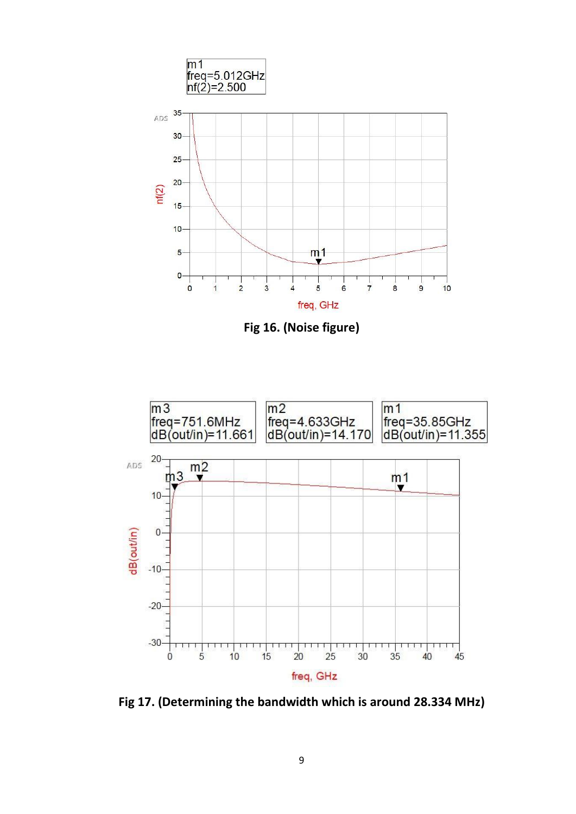

**Fig 16. (Noise figure)**



**Fig 17. (Determining the bandwidth which is around 28.334 MHz)**